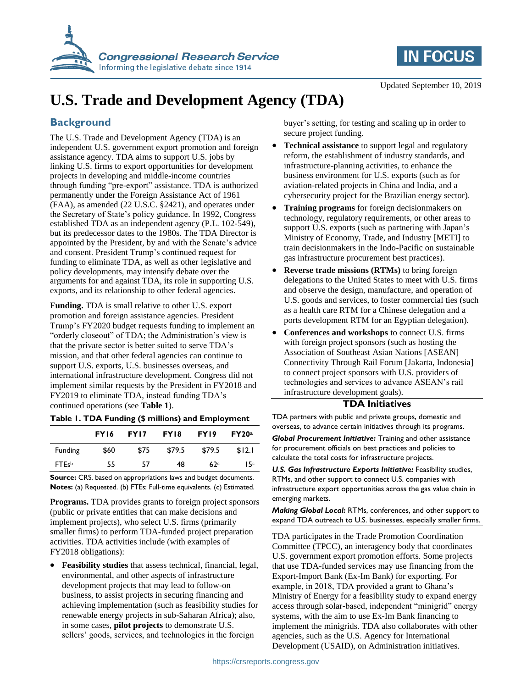



Updated September 10, 2019

# **U.S. Trade and Development Agency (TDA)**

## **Background**

The U.S. Trade and Development Agency (TDA) is an independent U.S. government export promotion and foreign assistance agency. TDA aims to support U.S. jobs by linking U.S. firms to export opportunities for development projects in developing and middle-income countries through funding "pre-export" assistance. TDA is authorized permanently under the Foreign Assistance Act of 1961 (FAA), as amended (22 U.S.C. §2421), and operates under the Secretary of State's policy guidance. In 1992, Congress established TDA as an independent agency (P.L. 102-549), but its predecessor dates to the 1980s. The TDA Director is appointed by the President, by and with the Senate's advice and consent. President Trump's continued request for funding to eliminate TDA, as well as other legislative and policy developments, may intensify debate over the arguments for and against TDA, its role in supporting U.S. exports, and its relationship to other federal agencies.

**Funding.** TDA is small relative to other U.S. export promotion and foreign assistance agencies. President Trump's FY2020 budget requests funding to implement an "orderly closeout" of TDA; the Administration's view is that the private sector is better suited to serve TDA's mission, and that other federal agencies can continue to support U.S. exports, U.S. businesses overseas, and international infrastructure development. Congress did not implement similar requests by the President in FY2018 and FY2019 to eliminate TDA, instead funding TDA's continued operations (see **Table 1**).

|  | Table I. TDA Funding (\$ millions) and Employment |  |  |  |
|--|---------------------------------------------------|--|--|--|
|  |                                                   |  |  |  |

|              | FY16 | <b>FY17</b> | FY18   | FY19   | FY20a  |
|--------------|------|-------------|--------|--------|--------|
| Funding      | \$60 | \$75        | \$79.5 | \$79.5 | \$12.1 |
| <b>FTEsb</b> | 55   | 57          | 48     | 62c    | 15c    |

**Source:** CRS, based on appropriations laws and budget documents. **Notes:** (a) Requested. (b) FTEs: Full-time equivalents. (c) Estimated.

**Programs.** TDA provides grants to foreign project sponsors (public or private entities that can make decisions and implement projects), who select U.S. firms (primarily smaller firms) to perform TDA-funded project preparation activities. TDA activities include (with examples of FY2018 obligations):

 **Feasibility studies** that assess technical, financial, legal, environmental, and other aspects of infrastructure development projects that may lead to follow-on business, to assist projects in securing financing and achieving implementation (such as feasibility studies for renewable energy projects in sub-Saharan Africa); also, in some cases, **pilot projects** to demonstrate U.S. sellers' goods, services, and technologies in the foreign

buyer's setting, for testing and scaling up in order to secure project funding.

- **Technical assistance** to support legal and regulatory reform, the establishment of industry standards, and infrastructure-planning activities, to enhance the business environment for U.S. exports (such as for aviation-related projects in China and India, and a cybersecurity project for the Brazilian energy sector).
- **Training programs** for foreign decisionmakers on technology, regulatory requirements, or other areas to support U.S. exports (such as partnering with Japan's Ministry of Economy, Trade, and Industry [METI] to train decisionmakers in the Indo-Pacific on sustainable gas infrastructure procurement best practices).
- **Reverse trade missions (RTMs)** to bring foreign delegations to the United States to meet with U.S. firms and observe the design, manufacture, and operation of U.S. goods and services, to foster commercial ties (such as a health care RTM for a Chinese delegation and a ports development RTM for an Egyptian delegation).
- **Conferences and workshops** to connect U.S. firms with foreign project sponsors (such as hosting the Association of Southeast Asian Nations [ASEAN] Connectivity Through Rail Forum [Jakarta, Indonesia] to connect project sponsors with U.S. providers of technologies and services to advance ASEAN's rail infrastructure development goals).

## **TDA Initiatives**

TDA partners with public and private groups, domestic and overseas, to advance certain initiatives through its programs.

*Global Procurement Initiative:* Training and other assistance for procurement officials on best practices and policies to calculate the total costs for infrastructure projects.

*U.S. Gas Infrastructure Exports Initiative:* Feasibility studies, RTMs, and other support to connect U.S. companies with infrastructure export opportunities across the gas value chain in emerging markets.

*Making Global Local:* RTMs, conferences, and other support to expand TDA outreach to U.S. businesses, especially smaller firms.

TDA participates in the Trade Promotion Coordination Committee (TPCC), an interagency body that coordinates U.S. government export promotion efforts. Some projects that use TDA-funded services may use financing from the Export-Import Bank (Ex-Im Bank) for exporting. For example, in 2018, TDA provided a grant to Ghana's Ministry of Energy for a feasibility study to expand energy access through solar-based, independent "minigrid" energy systems, with the aim to use Ex-Im Bank financing to implement the minigrids. TDA also collaborates with other agencies, such as the U.S. Agency for International Development (USAID), on Administration initiatives.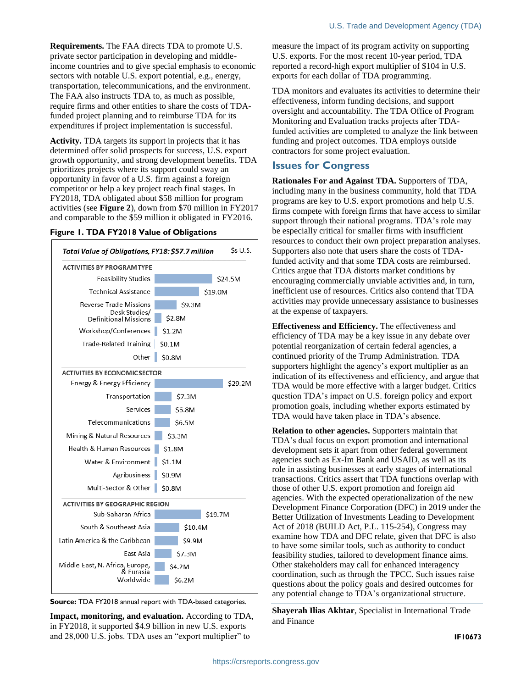**Requirements.** The FAA directs TDA to promote U.S. private sector participation in developing and middleincome countries and to give special emphasis to economic sectors with notable U.S. export potential, e.g., energy, transportation, telecommunications, and the environment. The FAA also instructs TDA to, as much as possible, require firms and other entities to share the costs of TDAfunded project planning and to reimburse TDA for its expenditures if project implementation is successful.

**Activity.** TDA targets its support in projects that it has determined offer solid prospects for success, U.S. export growth opportunity, and strong development benefits. TDA prioritizes projects where its support could sway an opportunity in favor of a U.S. firm against a foreign competitor or help a key project reach final stages. In FY2018, TDA obligated about \$58 million for program activities (see **Figure 2**), down from \$70 million in FY2017 and comparable to the \$59 million it obligated in FY2016.

#### **Figure 1. TDA FY2018 Value of Obligations**





**Impact, monitoring, and evaluation.** According to TDA, in FY2018, it supported \$4.9 billion in new U.S. exports and 28,000 U.S. jobs. TDA uses an "export multiplier" to

measure the impact of its program activity on supporting U.S. exports. For the most recent 10-year period, TDA reported a record-high export multiplier of \$104 in U.S. exports for each dollar of TDA programming.

TDA monitors and evaluates its activities to determine their effectiveness, inform funding decisions, and support oversight and accountability. The TDA Office of Program Monitoring and Evaluation tracks projects after TDAfunded activities are completed to analyze the link between funding and project outcomes. TDA employs outside contractors for some project evaluation.

### **Issues for Congress**

**Rationales For and Against TDA.** Supporters of TDA, including many in the business community, hold that TDA programs are key to U.S. export promotions and help U.S. firms compete with foreign firms that have access to similar support through their national programs. TDA's role may be especially critical for smaller firms with insufficient resources to conduct their own project preparation analyses. Supporters also note that users share the costs of TDAfunded activity and that some TDA costs are reimbursed. Critics argue that TDA distorts market conditions by encouraging commercially unviable activities and, in turn, inefficient use of resources. Critics also contend that TDA activities may provide unnecessary assistance to businesses at the expense of taxpayers.

**Effectiveness and Efficiency.** The effectiveness and efficiency of TDA may be a key issue in any debate over potential reorganization of certain federal agencies, a continued priority of the Trump Administration. TDA supporters highlight the agency's export multiplier as an indication of its effectiveness and efficiency, and argue that TDA would be more effective with a larger budget. Critics question TDA's impact on U.S. foreign policy and export promotion goals, including whether exports estimated by TDA would have taken place in TDA's absence.

**Relation to other agencies.** Supporters maintain that TDA's dual focus on export promotion and international development sets it apart from other federal government agencies such as Ex-Im Bank and USAID, as well as its role in assisting businesses at early stages of international transactions. Critics assert that TDA functions overlap with those of other U.S. export promotion and foreign aid agencies. With the expected operationalization of the new Development Finance Corporation (DFC) in 2019 under the Better Utilization of Investments Leading to Development Act of 2018 (BUILD Act, P.L. 115-254), Congress may examine how TDA and DFC relate, given that DFC is also to have some similar tools, such as authority to conduct feasibility studies, tailored to development finance aims. Other stakeholders may call for enhanced interagency coordination, such as through the TPCC. Such issues raise questions about the policy goals and desired outcomes for any potential change to TDA's organizational structure.

**Shayerah Ilias Akhtar**, Specialist in International Trade and Finance